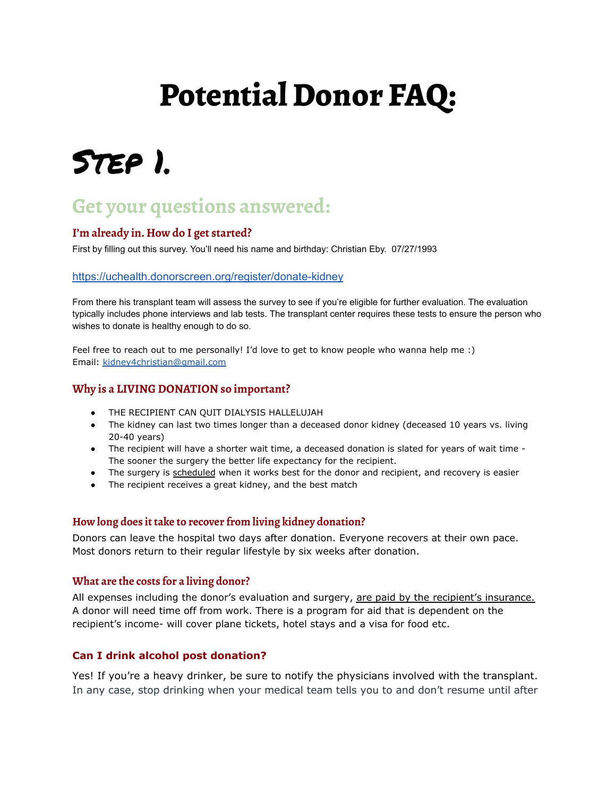# **Potential Donor FAQ:**

## Step 1.

### **Get your questions answered:**

#### **I'm already in. How do I get started?**

First by filling out this survey. You'll need his name and birthday: Christian Eby. 07/27/1993

#### <https://uchealth.donorscreen.org/register/donate-kidney>

From there his transplant team will assess the survey to see if you're eligible for further evaluation. The evaluation typically includes phone interviews and lab tests. The transplant center requires these tests to ensure the person who wishes to donate is healthy enough to do so.

Feel free to reach out to me personally! I'd love to get to know people who wanna help me :) Email: [kidney4christian@gmail.com](mailto:kidney4christian@gmail.com)

#### **Why is a LIVING DONATION so important?**

- THE RECIPIENT CAN QUIT DIALYSIS HALLELUJAH
- The kidney can last two times longer than a deceased donor kidney (deceased 10 years vs. living 20-40 years)
- The recipient will have a shorter wait time, a deceased donation is slated for years of wait time -The sooner the surgery the better life expectancy for the recipient.
- The surgery is scheduled when it works best for the donor and recipient, and recovery is easier
- The recipient receives a great kidney, and the best match

#### **How long does it take to recover from living kidney donation?**

Donors can leave the hospital two days after donation. Everyone recovers at their own pace. Most donors return to their regular lifestyle by six weeks after donation.

#### **What are the costs for a living donor?**

All expenses including the donor's evaluation and surgery, are paid by the recipient's insurance. A donor will need time off from work. There is a program for aid that is dependent on the recipient's income- will cover plane tickets, hotel stays and a visa for food etc.

#### **Can I drink alcohol post donation?**

Yes! If you're a heavy drinker, be sure to notify the physicians involved with the transplant. In any case, stop drinking when your medical team tells you to and don't resume until after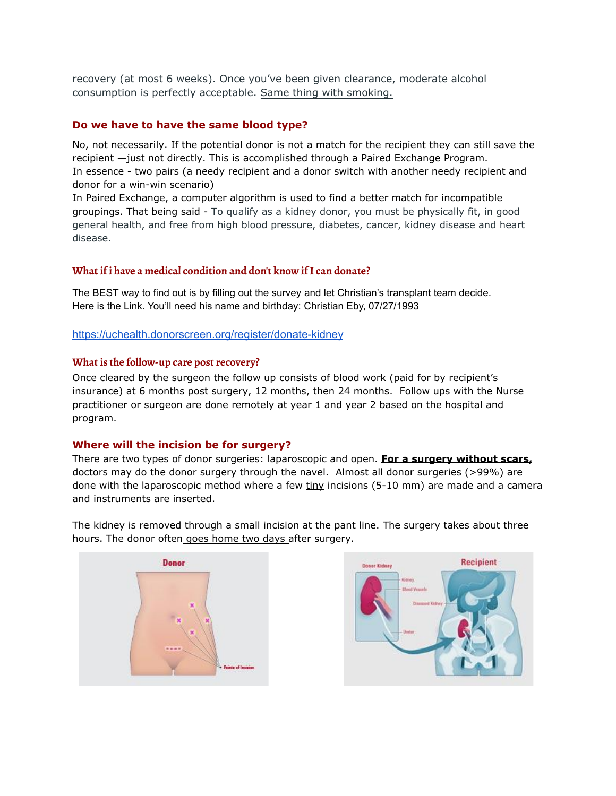recovery (at most 6 weeks). Once you've been given clearance, moderate alcohol consumption is perfectly acceptable. Same thing with smoking.

#### **Do we have to have the same blood type?**

No, not necessarily. If the potential donor is not a match for the recipient they can still save the recipient —just not directly. This is accomplished through a Paired Exchange Program. In essence - two pairs (a needy recipient and a donor switch with another needy recipient and donor for a win-win scenario)

In Paired Exchange, a computer algorithm is used to find a better match for incompatible groupings. That being said - To qualify as a kidney donor, you must be physically fit, in good general health, and free from high blood pressure, diabetes, cancer, kidney disease and heart disease.

#### **What if i have a medical condition and don't know ifI can donate?**

The BEST way to find out is by filling out the survey and let Christian's transplant team decide. Here is the Link. You'll need his name and birthday: Christian Eby, 07/27/1993

#### <https://uchealth.donorscreen.org/register/donate-kidney>

#### **What is the follow-up care post recovery?**

Once cleared by the surgeon the follow up consists of blood work (paid for by recipient's insurance) at 6 months post surgery, 12 months, then 24 months. Follow ups with the Nurse practitioner or surgeon are done remotely at year 1 and year 2 based on the hospital and program.

#### **Where will the incision be for surgery?**

There are two types of donor surgeries: laparoscopic and open. **For a surgery without scars,** doctors may do the donor surgery through the navel. Almost all donor surgeries (>99%) are done with the laparoscopic method where a few  $\frac{1}{2}$  incisions (5-10 mm) are made and a camera and instruments are inserted.

The kidney is removed through a small incision at the pant line. The surgery takes about three hours. The donor often goes home two days after surgery.



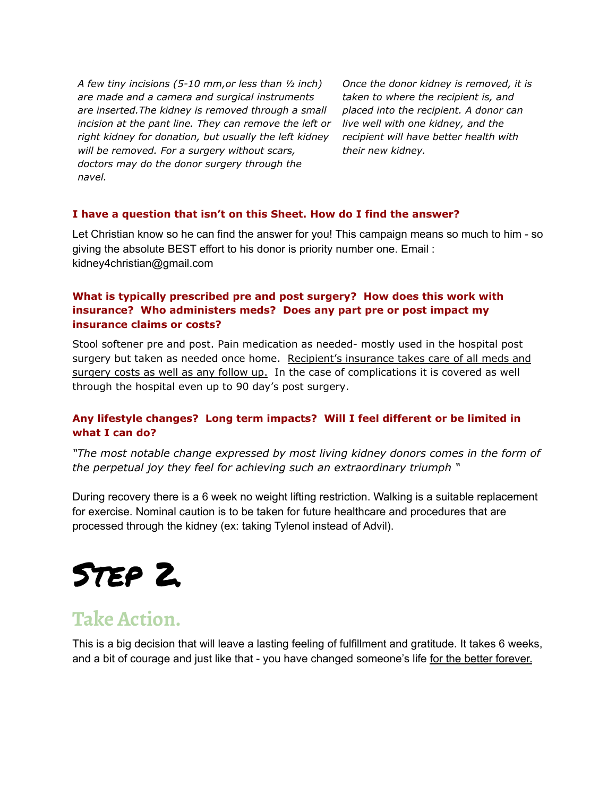*A few tiny incisions (5-10 mm,or less than ½ inch) are made and a camera and surgical instruments are inserted.The kidney is removed through a small incision at the pant line. They can remove the left or right kidney for donation, but usually the left kidney will be removed. For a surgery without scars, doctors may do the donor surgery through the navel.*

*Once the donor kidney is removed, it is taken to where the recipient is, and placed into the recipient. A donor can live well with one kidney, and the recipient will have better health with their new kidney.*

#### **I have a question that isn't on this Sheet. How do I find the answer?**

Let Christian know so he can find the answer for you! This campaign means so much to him - so giving the absolute BEST effort to his donor is priority number one. Email : kidney4christian@gmail.com

#### **What is typically prescribed pre and post surgery? How does this work with insurance? Who administers meds? Does any part pre or post impact my insurance claims or costs?**

Stool softener pre and post. Pain medication as needed- mostly used in the hospital post surgery but taken as needed once home. Recipient's insurance takes care of all meds and surgery costs as well as any follow up. In the case of complications it is covered as well through the hospital even up to 90 day's post surgery.

#### **Any lifestyle changes? Long term impacts? Will I feel different or be limited in what I can do?**

*"The most notable change expressed by most living kidney donors comes in the form of the perpetual joy they feel for achieving such an extraordinary triumph "*

During recovery there is a 6 week no weight lifting restriction. Walking is a suitable replacement for exercise. Nominal caution is to be taken for future healthcare and procedures that are processed through the kidney (ex: taking Tylenol instead of Advil).

## Step 2.

### **Take Action.**

This is a big decision that will leave a lasting feeling of fulfillment and gratitude. It takes 6 weeks, and a bit of courage and just like that - you have changed someone's life for the better forever.